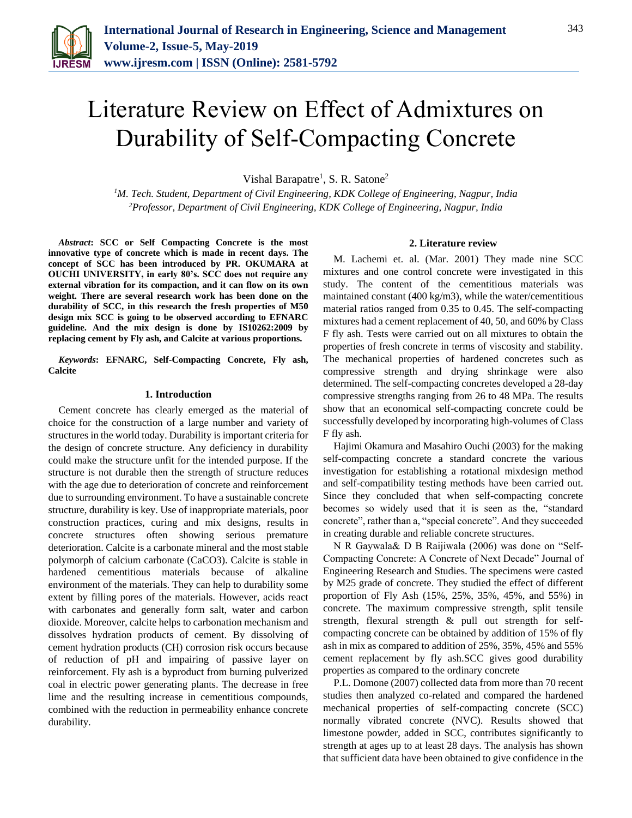

# Literature Review on Effect of Admixtures on Durability of Self-Compacting Concrete

Vishal Barapatre<sup>1</sup>, S. R. Satone<sup>2</sup>

*<sup>1</sup>M. Tech. Student, Department of Civil Engineering, KDK College of Engineering, Nagpur, India 2Professor, Department of Civil Engineering, KDK College of Engineering, Nagpur, India*

*Abstract***: SCC or Self Compacting Concrete is the most innovative type of concrete which is made in recent days. The concept of SCC has been introduced by PR. OKUMARA at OUCHI UNIVERSITY, in early 80's. SCC does not require any external vibration for its compaction, and it can flow on its own weight. There are several research work has been done on the durability of SCC, in this research the fresh properties of M50 design mix SCC is going to be observed according to EFNARC guideline. And the mix design is done by IS10262:2009 by replacing cement by Fly ash, and Calcite at various proportions.**

*Keywords***: EFNARC, Self-Compacting Concrete, Fly ash, Calcite**

#### **1. Introduction**

Cement concrete has clearly emerged as the material of choice for the construction of a large number and variety of structures in the world today. Durability is important criteria for the design of concrete structure. Any deficiency in durability could make the structure unfit for the intended purpose. If the structure is not durable then the strength of structure reduces with the age due to deterioration of concrete and reinforcement due to surrounding environment. To have a sustainable concrete structure, durability is key. Use of inappropriate materials, poor construction practices, curing and mix designs, results in concrete structures often showing serious premature deterioration. Calcite is a carbonate mineral and the most stable polymorph of calcium carbonate (CaCO3). Calcite is stable in hardened cementitious materials because of alkaline environment of the materials. They can help to durability some extent by filling pores of the materials. However, acids react with carbonates and generally form salt, water and carbon dioxide. Moreover, calcite helps to carbonation mechanism and dissolves hydration products of cement. By dissolving of cement hydration products (CH) corrosion risk occurs because of reduction of pH and impairing of passive layer on reinforcement. Fly ash is a byproduct from burning pulverized coal in electric power generating plants. The decrease in free lime and the resulting increase in cementitious compounds, combined with the reduction in permeability enhance concrete durability.

# **2. Literature review**

M. Lachemi et. al. (Mar. 2001) They made nine SCC mixtures and one control concrete were investigated in this study. The content of the cementitious materials was maintained constant (400 kg/m3), while the water/cementitious material ratios ranged from 0.35 to 0.45. The self-compacting mixtures had a cement replacement of 40, 50, and 60% by Class F fly ash. Tests were carried out on all mixtures to obtain the properties of fresh concrete in terms of viscosity and stability. The mechanical properties of hardened concretes such as compressive strength and drying shrinkage were also determined. The self-compacting concretes developed a 28-day compressive strengths ranging from 26 to 48 MPa. The results show that an economical self-compacting concrete could be successfully developed by incorporating high-volumes of Class F fly ash.

Hajimi Okamura and Masahiro Ouchi (2003) for the making self-compacting concrete a standard concrete the various investigation for establishing a rotational mixdesign method and self-compatibility testing methods have been carried out. Since they concluded that when self-compacting concrete becomes so widely used that it is seen as the, "standard concrete", rather than a, "special concrete". And they succeeded in creating durable and reliable concrete structures.

N R Gaywala& D B Raijiwala (2006) was done on "Self-Compacting Concrete: A Concrete of Next Decade" Journal of Engineering Research and Studies. The specimens were casted by M25 grade of concrete. They studied the effect of different proportion of Fly Ash (15%, 25%, 35%, 45%, and 55%) in concrete. The maximum compressive strength, split tensile strength, flexural strength & pull out strength for selfcompacting concrete can be obtained by addition of 15% of fly ash in mix as compared to addition of 25%, 35%, 45% and 55% cement replacement by fly ash.SCC gives good durability properties as compared to the ordinary concrete

P.L. Domone (2007) collected data from more than 70 recent studies then analyzed co-related and compared the hardened mechanical properties of self-compacting concrete (SCC) normally vibrated concrete (NVC). Results showed that limestone powder, added in SCC, contributes significantly to strength at ages up to at least 28 days. The analysis has shown that sufficient data have been obtained to give confidence in the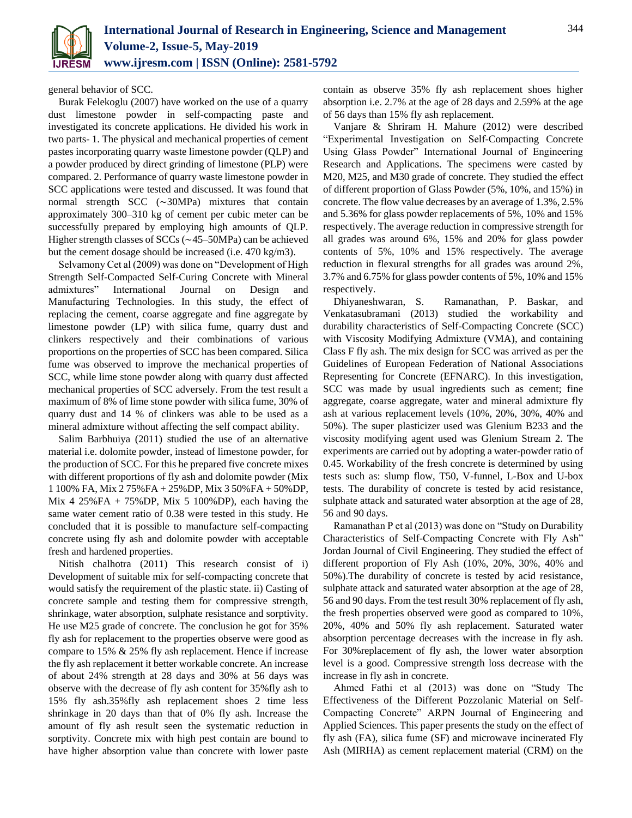

general behavior of SCC.

Burak Felekoglu (2007) have worked on the use of a quarry dust limestone powder in self-compacting paste and investigated its concrete applications. He divided his work in two parts- 1. The physical and mechanical properties of cement pastes incorporating quarry waste limestone powder (QLP) and a powder produced by direct grinding of limestone (PLP) were compared. 2. Performance of quarry waste limestone powder in SCC applications were tested and discussed. It was found that normal strength SCC (∼30MPa) mixtures that contain approximately 300–310 kg of cement per cubic meter can be successfully prepared by employing high amounts of QLP. Higher strength classes of SCCs (∼45–50MPa) can be achieved but the cement dosage should be increased (i.e. 470 kg/m3).

Selvamony Cet al (2009) was done on "Development of High Strength Self-Compacted Self-Curing Concrete with Mineral admixtures" International Journal on Design and Manufacturing Technologies. In this study, the effect of replacing the cement, coarse aggregate and fine aggregate by limestone powder (LP) with silica fume, quarry dust and clinkers respectively and their combinations of various proportions on the properties of SCC has been compared. Silica fume was observed to improve the mechanical properties of SCC, while lime stone powder along with quarry dust affected mechanical properties of SCC adversely. From the test result a maximum of 8% of lime stone powder with silica fume, 30% of quarry dust and 14 % of clinkers was able to be used as a mineral admixture without affecting the self compact ability.

Salim Barbhuiya (2011) studied the use of an alternative material i.e. dolomite powder, instead of limestone powder, for the production of SCC. For this he prepared five concrete mixes with different proportions of fly ash and dolomite powder (Mix 1 100% FA, Mix 2 75%FA + 25%DP, Mix 3 50%FA + 50%DP, Mix 4 25%FA + 75%DP, Mix 5 100%DP), each having the same water cement ratio of 0.38 were tested in this study. He concluded that it is possible to manufacture self-compacting concrete using fly ash and dolomite powder with acceptable fresh and hardened properties.

Nitish chalhotra (2011) This research consist of i) Development of suitable mix for self-compacting concrete that would satisfy the requirement of the plastic state. ii) Casting of concrete sample and testing them for compressive strength, shrinkage, water absorption, sulphate resistance and sorptivity. He use M25 grade of concrete. The conclusion he got for 35% fly ash for replacement to the properties observe were good as compare to 15% & 25% fly ash replacement. Hence if increase the fly ash replacement it better workable concrete. An increase of about 24% strength at 28 days and 30% at 56 days was observe with the decrease of fly ash content for 35%fly ash to 15% fly ash.35%fly ash replacement shoes 2 time less shrinkage in 20 days than that of 0% fly ash. Increase the amount of fly ash result seen the systematic reduction in sorptivity. Concrete mix with high pest contain are bound to have higher absorption value than concrete with lower paste contain as observe 35% fly ash replacement shoes higher absorption i.e. 2.7% at the age of 28 days and 2.59% at the age of 56 days than 15% fly ash replacement.

Vanjare & Shriram H. Mahure (2012) were described "Experimental Investigation on Self-Compacting Concrete Using Glass Powder" International Journal of Engineering Research and Applications. The specimens were casted by M20, M25, and M30 grade of concrete. They studied the effect of different proportion of Glass Powder (5%, 10%, and 15%) in concrete. The flow value decreases by an average of 1.3%, 2.5% and 5.36% for glass powder replacements of 5%, 10% and 15% respectively. The average reduction in compressive strength for all grades was around 6%, 15% and 20% for glass powder contents of 5%, 10% and 15% respectively. The average reduction in flexural strengths for all grades was around 2%, 3.7% and 6.75% for glass powder contents of 5%, 10% and 15% respectively.

Dhiyaneshwaran, S. Ramanathan, P. Baskar, and Venkatasubramani (2013) studied the workability and durability characteristics of Self-Compacting Concrete (SCC) with Viscosity Modifying Admixture (VMA), and containing Class F fly ash. The mix design for SCC was arrived as per the Guidelines of European Federation of National Associations Representing for Concrete (EFNARC). In this investigation, SCC was made by usual ingredients such as cement; fine aggregate, coarse aggregate, water and mineral admixture fly ash at various replacement levels (10%, 20%, 30%, 40% and 50%). The super plasticizer used was Glenium B233 and the viscosity modifying agent used was Glenium Stream 2. The experiments are carried out by adopting a water-powder ratio of 0.45. Workability of the fresh concrete is determined by using tests such as: slump flow, T50, V-funnel, L-Box and U-box tests. The durability of concrete is tested by acid resistance, sulphate attack and saturated water absorption at the age of 28, 56 and 90 days.

Ramanathan P et al (2013) was done on "Study on Durability Characteristics of Self-Compacting Concrete with Fly Ash" Jordan Journal of Civil Engineering. They studied the effect of different proportion of Fly Ash (10%, 20%, 30%, 40% and 50%).The durability of concrete is tested by acid resistance, sulphate attack and saturated water absorption at the age of 28, 56 and 90 days. From the test result 30% replacement of fly ash, the fresh properties observed were good as compared to 10%, 20%, 40% and 50% fly ash replacement. Saturated water absorption percentage decreases with the increase in fly ash. For 30%replacement of fly ash, the lower water absorption level is a good. Compressive strength loss decrease with the increase in fly ash in concrete.

Ahmed Fathi et al (2013) was done on "Study The Effectiveness of the Different Pozzolanic Material on Self-Compacting Concrete" ARPN Journal of Engineering and Applied Sciences. This paper presents the study on the effect of fly ash (FA), silica fume (SF) and microwave incinerated Fly Ash (MIRHA) as cement replacement material (CRM) on the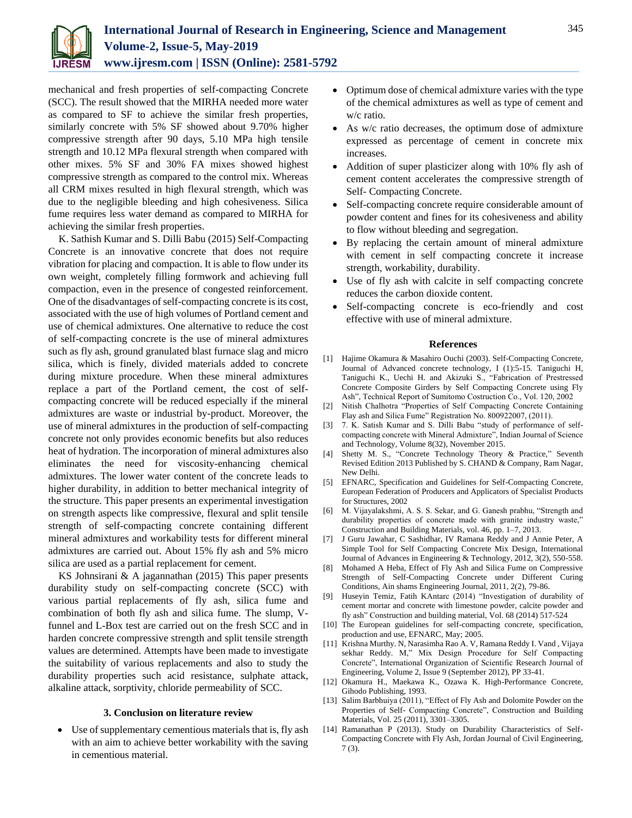

mechanical and fresh properties of self-compacting Concrete (SCC). The result showed that the MIRHA needed more water as compared to SF to achieve the similar fresh properties, similarly concrete with 5% SF showed about 9.70% higher compressive strength after 90 days, 5.10 MPa high tensile strength and 10.12 MPa flexural strength when compared with other mixes. 5% SF and 30% FA mixes showed highest compressive strength as compared to the control mix. Whereas all CRM mixes resulted in high flexural strength, which was due to the negligible bleeding and high cohesiveness. Silica fume requires less water demand as compared to MIRHA for achieving the similar fresh properties.

K. Sathish Kumar and S. Dilli Babu (2015) Self-Compacting Concrete is an innovative concrete that does not require vibration for placing and compaction. It is able to flow under its own weight, completely filling formwork and achieving full compaction, even in the presence of congested reinforcement. One of the disadvantages of self-compacting concrete is its cost, associated with the use of high volumes of Portland cement and use of chemical admixtures. One alternative to reduce the cost of self-compacting concrete is the use of mineral admixtures such as fly ash, ground granulated blast furnace slag and micro silica, which is finely, divided materials added to concrete during mixture procedure. When these mineral admixtures replace a part of the Portland cement, the cost of selfcompacting concrete will be reduced especially if the mineral admixtures are waste or industrial by-product. Moreover, the use of mineral admixtures in the production of self-compacting concrete not only provides economic benefits but also reduces heat of hydration. The incorporation of mineral admixtures also eliminates the need for viscosity-enhancing chemical admixtures. The lower water content of the concrete leads to higher durability, in addition to better mechanical integrity of the structure. This paper presents an experimental investigation on strength aspects like compressive, flexural and split tensile strength of self-compacting concrete containing different mineral admixtures and workability tests for different mineral admixtures are carried out. About 15% fly ash and 5% micro silica are used as a partial replacement for cement.

KS Johnsirani & A jagannathan (2015) This paper presents durability study on self-compacting concrete (SCC) with various partial replacements of fly ash, silica fume and combination of both fly ash and silica fume. The slump, Vfunnel and L-Box test are carried out on the fresh SCC and in harden concrete compressive strength and split tensile strength values are determined. Attempts have been made to investigate the suitability of various replacements and also to study the durability properties such acid resistance, sulphate attack, alkaline attack, sorptivity, chloride permeability of SCC.

## **3. Conclusion on literature review**

 Use of supplementary cementious materials that is, fly ash with an aim to achieve better workability with the saving in cementious material.

- Optimum dose of chemical admixture varies with the type of the chemical admixtures as well as type of cement and w/c ratio.
- As w/c ratio decreases, the optimum dose of admixture expressed as percentage of cement in concrete mix increases.
- Addition of super plasticizer along with 10% fly ash of cement content accelerates the compressive strength of Self- Compacting Concrete.
- Self-compacting concrete require considerable amount of powder content and fines for its cohesiveness and ability to flow without bleeding and segregation.
- By replacing the certain amount of mineral admixture with cement in self compacting concrete it increase strength, workability, durability.
- Use of fly ash with calcite in self compacting concrete reduces the carbon dioxide content.
- Self-compacting concrete is eco-friendly and cost effective with use of mineral admixture.

### **References**

- [1] Hajime Okamura & Masahiro Ouchi (2003). Self-Compacting Concrete, Journal of Advanced concrete technology, I (1):5-15. Taniguchi H, Taniguchi K., Uechi H. and Akizuki S., "Fabrication of Prestressed Concrete Composite Girders by Self Compacting Concrete using Fly Ash", Technical Report of Sumitomo Costruction Co., Vol. 120, 2002
- [2] Nitish Chalhotra "Properties of Self Compacting Concrete Containing Flay ash and Silica Fume" Registration No. 800922007, (2011).
- [3] 7. K. Satish Kumar and S. Dilli Babu "study of performance of selfcompacting concrete with Mineral Admixture", Indian Journal of Science and Technology, Volume 8(32), November 2015.
- [4] Shetty M. S., "Concrete Technology Theory & Practice," Seventh Revised Edition 2013 Published by S. CHAND & Company, Ram Nagar, New Delhi.
- [5] EFNARC, Specification and Guidelines for Self-Compacting Concrete, European Federation of Producers and Applicators of Specialist Products for Structures, 2002
- [6] M. Vijayalakshmi, A. S. S. Sekar, and G. Ganesh prabhu, "Strength and durability properties of concrete made with granite industry waste," Construction and Building Materials, vol. 46, pp. 1–7, 2013.
- [7] J Guru Jawahar, C Sashidhar, IV Ramana Reddy and J Annie Peter, A Simple Tool for Self Compacting Concrete Mix Design, International Journal of Advances in Engineering & Technology, 2012, 3(2), 550-558.
- [8] Mohamed A Heba, Effect of Fly Ash and Silica Fume on Compressive Strength of Self-Compacting Concrete under Different Curing Conditions, Ain shams Engineering Journal, 2011, 2(2), 79-86.
- [9] Huseyin Temiz, Fatih KAntarc (2014) "Investigation of durability of cement mortar and concrete with limestone powder, calcite powder and fly ash" Construction and building material, Vol. 68 (2014) 517-524
- [10] The European guidelines for self-compacting concrete, specification, production and use, EFNARC, May; 2005.
- [11] Krishna Murthy. N, Narasimha Rao A. V, Ramana Reddy I. Vand , Vijaya sekhar Reddy. M," Mix Design Procedure for Self Compacting Concrete", International Organization of Scientific Research Journal of Engineering, Volume 2, Issue 9 (September 2012), PP 33-41.
- [12] Okamura H., Maekawa K., Ozawa K. High-Performance Concrete, Gihodo Publishing, 1993.
- [13] Salim Barbhuiya (2011), "Effect of Fly Ash and Dolomite Powder on the Properties of Self- Compacting Concrete", Construction and Building Materials, Vol. 25 (2011), 3301–3305.
- [14] Ramanathan P (2013). Study on Durability Characteristics of Self-Compacting Concrete with Fly Ash, Jordan Journal of Civil Engineering, 7 (3).